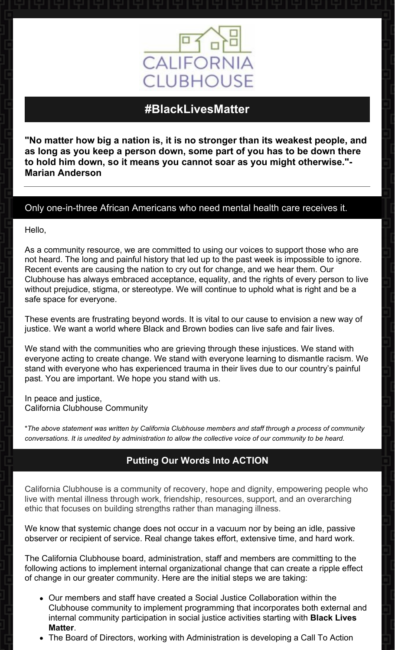

# **#BlackLivesMatter**

**"No matter how big a nation is, it is no stronger than its weakest people, and as long as you keep a person down, some part of you has to be down there to hold him down, so it means you cannot soar as you might otherwise."- Marian Anderson**

### Only one-in-three African Americans who need mental health care receives it.

Hello,

As a community resource, we are committed to using our voices to support those who are not heard. The long and painful history that led up to the past week is impossible to ignore. Recent events are causing the nation to cry out for change, and we hear them. Our Clubhouse has always embraced acceptance, equality, and the rights of every person to live without prejudice, stigma, or stereotype. We will continue to uphold what is right and be a safe space for everyone.

These events are frustrating beyond words. It is vital to our cause to envision a new way of justice. We want a world where Black and Brown bodies can live safe and fair lives.

We stand with the communities who are grieving through these injustices. We stand with everyone acting to create change. We stand with everyone learning to dismantle racism. We stand with everyone who has experienced trauma in their lives due to our country's painful past. You are important. We hope you stand with us.

In peace and justice, California Clubhouse Community

\**The above statement was written by California Clubhouse members and staff through a process of community* conversations. It is unedited by administration to allow the collective voice of our community to be heard.

## **Putting Our Words Into ACTION**

California Clubhouse is a community of recovery, hope and dignity, empowering people who live with mental illness through work, friendship, resources, support, and an overarching ethic that focuses on building strengths rather than managing illness.

We know that systemic change does not occur in a vacuum nor by being an idle, passive observer or recipient of service. Real change takes effort, extensive time, and hard work.

The California Clubhouse board, administration, staff and members are committing to the following actions to implement internal organizational change that can create a ripple effect of change in our greater community. Here are the initial steps we are taking:

- Our members and staff have created a Social Justice Collaboration within the Clubhouse community to implement programming that incorporates both external and internal community participation in social justice activities starting with **Black Lives Matter**.
- The Board of Directors, working with Administration is developing a Call To Action